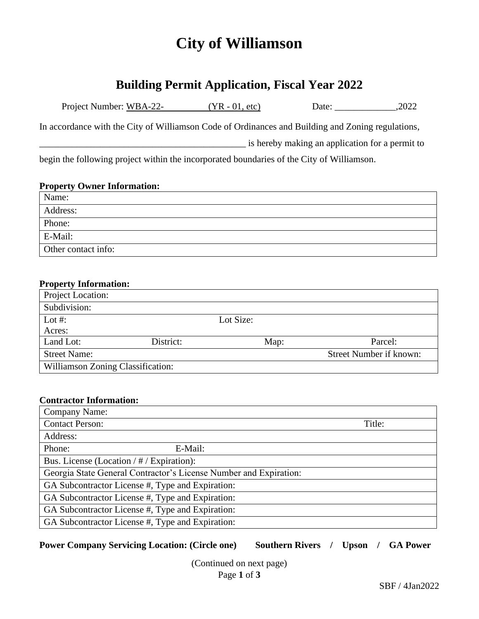# **City of Williamson**

## **Building Permit Application, Fiscal Year 2022**

| Project Number: WBA-22- |  | $(YR - 01, etc)$ | Date: | .2022 |
|-------------------------|--|------------------|-------|-------|
|-------------------------|--|------------------|-------|-------|

In accordance with the City of Williamson Code of Ordinances and Building and Zoning regulations,

\_\_\_\_\_\_\_\_\_\_\_\_\_\_\_\_\_\_\_\_\_\_\_\_\_\_\_\_\_\_\_\_\_\_\_\_\_\_\_\_\_\_\_\_ is hereby making an application for a permit to

begin the following project within the incorporated boundaries of the City of Williamson.

### **Property Owner Information:**

| Name:               |
|---------------------|
| Address:            |
| Phone:              |
| E-Mail:             |
| Other contact info: |

### **Property Information:**

| Project Location:                 |           |           |                         |  |  |  |  |
|-----------------------------------|-----------|-----------|-------------------------|--|--|--|--|
| Subdivision:                      |           |           |                         |  |  |  |  |
| Lot #:                            |           | Lot Size: |                         |  |  |  |  |
| Acres:                            |           |           |                         |  |  |  |  |
| Land Lot:                         | District: | Map:      | Parcel:                 |  |  |  |  |
| <b>Street Name:</b>               |           |           | Street Number if known: |  |  |  |  |
| Williamson Zoning Classification: |           |           |                         |  |  |  |  |

### **Contractor Information:**

| Company Name:                                                     |        |  |  |  |  |  |
|-------------------------------------------------------------------|--------|--|--|--|--|--|
| <b>Contact Person:</b>                                            | Title: |  |  |  |  |  |
| Address:                                                          |        |  |  |  |  |  |
| Phone:<br>E-Mail:                                                 |        |  |  |  |  |  |
| Bus. License (Location / # / Expiration):                         |        |  |  |  |  |  |
| Georgia State General Contractor's License Number and Expiration: |        |  |  |  |  |  |
| GA Subcontractor License #, Type and Expiration:                  |        |  |  |  |  |  |
| GA Subcontractor License #, Type and Expiration:                  |        |  |  |  |  |  |
| GA Subcontractor License #, Type and Expiration:                  |        |  |  |  |  |  |
| GA Subcontractor License #, Type and Expiration:                  |        |  |  |  |  |  |

### **Power Company Servicing Location: (Circle one) Southern Rivers / Upson / GA Power**

Page **1** of **3** (Continued on next page)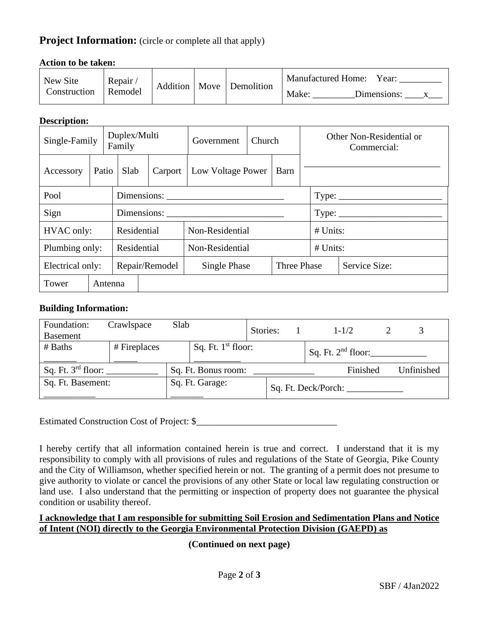### **Project Information:** (circle or complete all that apply)

| New Site<br>Construction | Repair<br>Remodel | Addition   Move |  | Demolition | <b>Manufactured Home:</b><br>Year:<br>Make:<br>Dimensions: |  |  |  |
|--------------------------|-------------------|-----------------|--|------------|------------------------------------------------------------|--|--|--|

### **Action to be taken:**

### **Description:**

| Single-Family    |             |         | Duplex/Multi<br>Family |                | Government                  | Church |                                                      | Other Non-Residential or<br>Commercial: |               |  |  |
|------------------|-------------|---------|------------------------|----------------|-----------------------------|--------|------------------------------------------------------|-----------------------------------------|---------------|--|--|
| Accessory        | Patio       |         | Slab                   | Carport        | Low Voltage Power<br>Barn   |        |                                                      |                                         |               |  |  |
| Pool             | Dimensions: |         |                        |                |                             |        | $Type: \_\_\_\_\_\_\_\_\_\_\_\_\_\_\_\_\_\_\_\_\_\_$ |                                         |               |  |  |
| Sign             |             |         |                        |                |                             |        |                                                      |                                         |               |  |  |
| HVAC only:       |             |         | Residential            |                | Non-Residential             |        |                                                      |                                         | $#$ Units:    |  |  |
| Plumbing only:   |             |         | Residential            |                | Non-Residential             |        |                                                      |                                         | $#$ Units:    |  |  |
| Electrical only: |             |         |                        | Repair/Remodel | Single Phase<br>Three Phase |        |                                                      |                                         | Service Size: |  |  |
| Tower            |             | Antenna |                        |                |                             |        |                                                      |                                         |               |  |  |

### **Building Information:**

| Foundation:<br><b>Basement</b> | Crawlspace   | Slab |                      | Stories: |  | $1 - 1/2$            |          |            |
|--------------------------------|--------------|------|----------------------|----------|--|----------------------|----------|------------|
| # Baths                        | # Fireplaces |      | Sq. Ft. $1st$ floor: |          |  | Sq. Ft. $2nd$ floor: |          |            |
| Sq. Ft. 3rd floor:             |              |      | Sq. Ft. Bonus room:  |          |  |                      | Finished | Unfinished |
| Sq. Ft. Basement:              |              |      | Sq. Ft. Garage:      |          |  | Sq. Ft. Deck/Porch:  |          |            |

Estimated Construction Cost of Project: \$\_\_\_\_\_\_\_\_\_\_\_\_\_\_\_\_\_\_\_\_\_\_\_\_\_\_\_\_\_\_

I hereby certify that all information contained herein is true and correct. I understand that it is my responsibility to comply with all provisions of rules and regulations of the State of Georgia, Pike County and the City of Williamson, whether specified herein or not. The granting of a permit does not presume to give authority to violate or cancel the provisions of any other State or local law regulating construction or land use. I also understand that the permitting or inspection of property does not guarantee the physical condition or usability thereof.

### **I acknowledge that I am responsible for submitting Soil Erosion and Sedimentation Plans and Notice of Intent (NOI) directly to the Georgia Environmental Protection Division (GAEPD) as**

**(Continued on next page)**